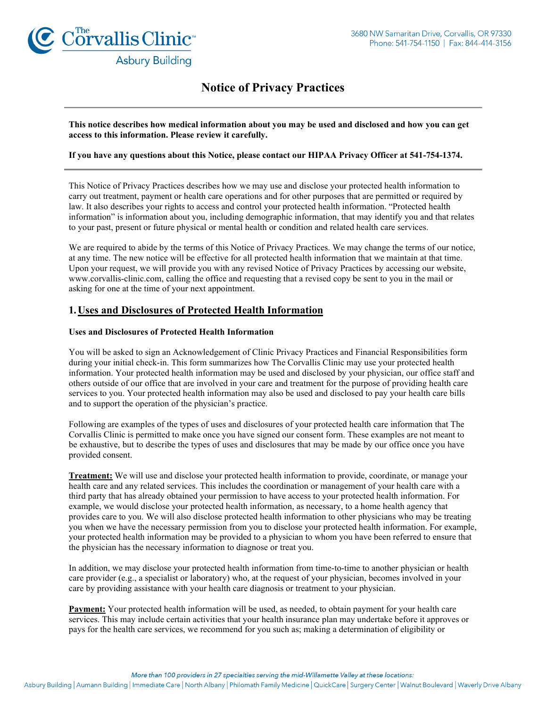

# **Notice of Privacy Practices**

**This notice describes how medical information about you may be used and disclosed and how you can get access to this information. Please review it carefully.**

**If you have any questions about this Notice, please contact our HIPAA Privacy Officer at 541-754-1374.**

This Notice of Privacy Practices describes how we may use and disclose your protected health information to carry out treatment, payment or health care operations and for other purposes that are permitted or required by law. It also describes your rights to access and control your protected health information. "Protected health information" is information about you, including demographic information, that may identify you and that relates to your past, present or future physical or mental health or condition and related health care services.

We are required to abide by the terms of this Notice of Privacy Practices. We may change the terms of our notice, at any time. The new notice will be effective for all protected health information that we maintain at that time. Upon your request, we will provide you with any revised Notice of Privacy Practices by accessing our website, [www.corvallis-clinic.com, c](http://www.corvallis-clinic.com/)alling the office and requesting that a revised copy be sent to you in the mail or asking for one at the time of your next appointment.

### **1.Uses and Disclosures of Protected Health Information**

#### **Uses and Disclosures of Protected Health Information**

You will be asked to sign an Acknowledgement of Clinic Privacy Practices and Financial Responsibilities form during your initial check-in. This form summarizes how The Corvallis Clinic may use your protected health information. Your protected health information may be used and disclosed by your physician, our office staff and others outside of our office that are involved in your care and treatment for the purpose of providing health care services to you. Your protected health information may also be used and disclosed to pay your health care bills and to support the operation of the physician's practice.

Following are examples of the types of uses and disclosures of your protected health care information that The Corvallis Clinic is permitted to make once you have signed our consent form. These examples are not meant to be exhaustive, but to describe the types of uses and disclosures that may be made by our office once you have provided consent.

**Treatment:** We will use and disclose your protected health information to provide, coordinate, or manage your health care and any related services. This includes the coordination or management of your health care with a third party that has already obtained your permission to have access to your protected health information. For example, we would disclose your protected health information, as necessary, to a home health agency that provides care to you. We will also disclose protected health information to other physicians who may be treating you when we have the necessary permission from you to disclose your protected health information. For example, your protected health information may be provided to a physician to whom you have been referred to ensure that the physician has the necessary information to diagnose or treat you.

In addition, we may disclose your protected health information from time-to-time to another physician or health care provider (e.g., a specialist or laboratory) who, at the request of your physician, becomes involved in your care by providing assistance with your health care diagnosis or treatment to your physician.

**Payment:** Your protected health information will be used, as needed, to obtain payment for your health care services. This may include certain activities that your health insurance plan may undertake before it approves or pays for the health care services, we recommend for you such as; making a determination of eligibility or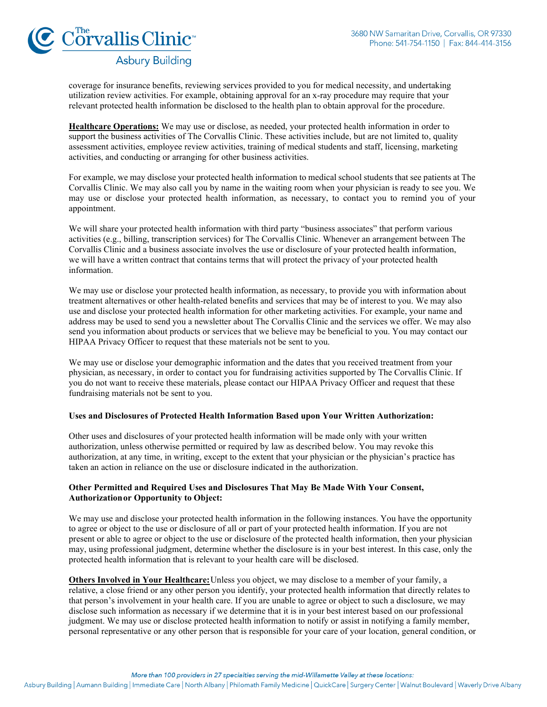

coverage for insurance benefits, reviewing services provided to you for medical necessity, and undertaking utilization review activities. For example, obtaining approval for an x-ray procedure may require that your relevant protected health information be disclosed to the health plan to obtain approval for the procedure.

**Healthcare Operations:** We may use or disclose, as needed, your protected health information in order to support the business activities of The Corvallis Clinic. These activities include, but are not limited to, quality assessment activities, employee review activities, training of medical students and staff, licensing, marketing activities, and conducting or arranging for other business activities.

For example, we may disclose your protected health information to medical school students that see patients at The Corvallis Clinic. We may also call you by name in the waiting room when your physician is ready to see you. We may use or disclose your protected health information, as necessary, to contact you to remind you of your appointment.

We will share your protected health information with third party "business associates" that perform various activities (e.g., billing, transcription services) for The Corvallis Clinic. Whenever an arrangement between The Corvallis Clinic and a business associate involves the use or disclosure of your protected health information, we will have a written contract that contains terms that will protect the privacy of your protected health information.

We may use or disclose your protected health information, as necessary, to provide you with information about treatment alternatives or other health-related benefits and services that may be of interest to you. We may also use and disclose your protected health information for other marketing activities. For example, your name and address may be used to send you a newsletter about The Corvallis Clinic and the services we offer. We may also send you information about products or services that we believe may be beneficial to you. You may contact our HIPAA Privacy Officer to request that these materials not be sent to you.

We may use or disclose your demographic information and the dates that you received treatment from your physician, as necessary, in order to contact you for fundraising activities supported by The Corvallis Clinic. If you do not want to receive these materials, please contact our HIPAA Privacy Officer and request that these fundraising materials not be sent to you.

#### **Uses and Disclosures of Protected Health Information Based upon Your Written Authorization:**

Other uses and disclosures of your protected health information will be made only with your written authorization, unless otherwise permitted or required by law as described below. You may revoke this authorization, at any time, in writing, except to the extent that your physician or the physician's practice has taken an action in reliance on the use or disclosure indicated in the authorization.

#### **Other Permitted and Required Uses and Disclosures That May Be Made With Your Consent, Authorizationor Opportunity to Object:**

We may use and disclose your protected health information in the following instances. You have the opportunity to agree or object to the use or disclosure of all or part of your protected health information. If you are not present or able to agree or object to the use or disclosure of the protected health information, then your physician may, using professional judgment, determine whether the disclosure is in your best interest. In this case, only the protected health information that is relevant to your health care will be disclosed.

**Others Involved in Your Healthcare:**Unless you object, we may disclose to a member of your family, a relative, a close friend or any other person you identify, your protected health information that directly relates to that person's involvement in your health care. If you are unable to agree or object to such a disclosure, we may disclose such information as necessary if we determine that it is in your best interest based on our professional judgment. We may use or disclose protected health information to notify or assist in notifying a family member, personal representative or any other person that is responsible for your care of your location, general condition, or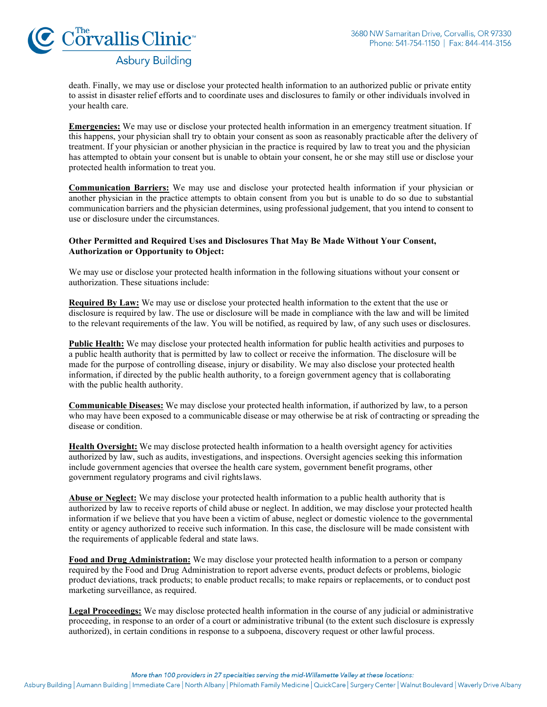

death. Finally, we may use or disclose your protected health information to an authorized public or private entity to assist in disaster relief efforts and to coordinate uses and disclosures to family or other individuals involved in your health care.

**Emergencies:** We may use or disclose your protected health information in an emergency treatment situation. If this happens, your physician shall try to obtain your consent as soon as reasonably practicable after the delivery of treatment. If your physician or another physician in the practice is required by law to treat you and the physician has attempted to obtain your consent but is unable to obtain your consent, he or she may still use or disclose your protected health information to treat you.

**Communication Barriers:** We may use and disclose your protected health information if your physician or another physician in the practice attempts to obtain consent from you but is unable to do so due to substantial communication barriers and the physician determines, using professional judgement, that you intend to consent to use or disclosure under the circumstances.

#### **Other Permitted and Required Uses and Disclosures That May Be Made Without Your Consent, Authorization or Opportunity to Object:**

We may use or disclose your protected health information in the following situations without your consent or authorization. These situations include:

**Required By Law:** We may use or disclose your protected health information to the extent that the use or disclosure is required by law. The use or disclosure will be made in compliance with the law and will be limited to the relevant requirements of the law. You will be notified, as required by law, of any such uses or disclosures.

**Public Health:** We may disclose your protected health information for public health activities and purposes to a public health authority that is permitted by law to collect or receive the information. The disclosure will be made for the purpose of controlling disease, injury or disability. We may also disclose your protected health information, if directed by the public health authority, to a foreign government agency that is collaborating with the public health authority.

**Communicable Diseases:** We may disclose your protected health information, if authorized by law, to a person who may have been exposed to a communicable disease or may otherwise be at risk of contracting or spreading the disease or condition.

**Health Oversight:** We may disclose protected health information to a health oversight agency for activities authorized by law, such as audits, investigations, and inspections. Oversight agencies seeking this information include government agencies that oversee the health care system, government benefit programs, other government regulatory programs and civil rightslaws.

**Abuse or Neglect:** We may disclose your protected health information to a public health authority that is authorized by law to receive reports of child abuse or neglect. In addition, we may disclose your protected health information if we believe that you have been a victim of abuse, neglect or domestic violence to the governmental entity or agency authorized to receive such information. In this case, the disclosure will be made consistent with the requirements of applicable federal and state laws.

**Food and Drug Administration:** We may disclose your protected health information to a person or company required by the Food and Drug Administration to report adverse events, product defects or problems, biologic product deviations, track products; to enable product recalls; to make repairs or replacements, or to conduct post marketing surveillance, as required.

**Legal Proceedings:** We may disclose protected health information in the course of any judicial or administrative proceeding, in response to an order of a court or administrative tribunal (to the extent such disclosure is expressly authorized), in certain conditions in response to a subpoena, discovery request or other lawful process.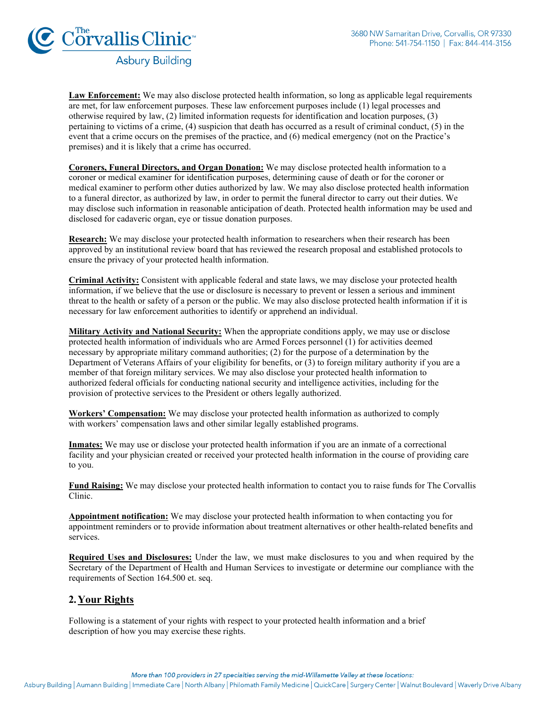

Law Enforcement: We may also disclose protected health information, so long as applicable legal requirements are met, for law enforcement purposes. These law enforcement purposes include (1) legal processes and otherwise required by law, (2) limited information requests for identification and location purposes, (3) pertaining to victims of a crime, (4) suspicion that death has occurred as a result of criminal conduct, (5) in the event that a crime occurs on the premises of the practice, and (6) medical emergency (not on the Practice's premises) and it is likely that a crime has occurred.

**Coroners, Funeral Directors, and Organ Donation:** We may disclose protected health information to a coroner or medical examiner for identification purposes, determining cause of death or for the coroner or medical examiner to perform other duties authorized by law. We may also disclose protected health information to a funeral director, as authorized by law, in order to permit the funeral director to carry out their duties. We may disclose such information in reasonable anticipation of death. Protected health information may be used and disclosed for cadaveric organ, eye or tissue donation purposes.

Research: We may disclose your protected health information to researchers when their research has been approved by an institutional review board that has reviewed the research proposal and established protocols to ensure the privacy of your protected health information.

**Criminal Activity:** Consistent with applicable federal and state laws, we may disclose your protected health information, if we believe that the use or disclosure is necessary to prevent or lessen a serious and imminent threat to the health or safety of a person or the public. We may also disclose protected health information if it is necessary for law enforcement authorities to identify or apprehend an individual.

**Military Activity and National Security:** When the appropriate conditions apply, we may use or disclose protected health information of individuals who are Armed Forces personnel (1) for activities deemed necessary by appropriate military command authorities; (2) for the purpose of a determination by the Department of Veterans Affairs of your eligibility for benefits, or (3) to foreign military authority if you are a member of that foreign military services. We may also disclose your protected health information to authorized federal officials for conducting national security and intelligence activities, including for the provision of protective services to the President or others legally authorized.

**Workers' Compensation:** We may disclose your protected health information as authorized to comply with workers' compensation laws and other similar legally established programs.

**Inmates:** We may use or disclose your protected health information if you are an inmate of a correctional facility and your physician created or received your protected health information in the course of providing care to you.

**Fund Raising:** We may disclose your protected health information to contact you to raise funds for The Corvallis Clinic.

**Appointment notification:** We may disclose your protected health information to when contacting you for appointment reminders or to provide information about treatment alternatives or other health-related benefits and services.

**Required Uses and Disclosures:** Under the law, we must make disclosures to you and when required by the Secretary of the Department of Health and Human Services to investigate or determine our compliance with the requirements of Section 164.500 et. seq.

## **2.Your Rights**

Following is a statement of your rights with respect to your protected health information and a brief description of how you may exercise these rights.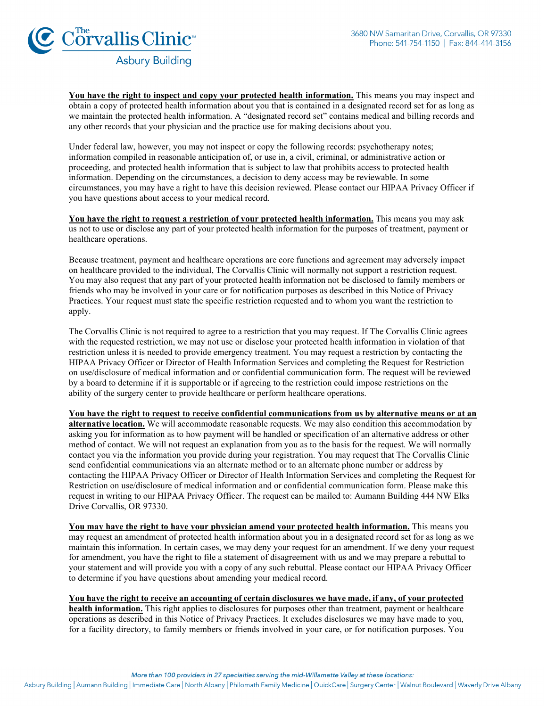

You have the right to inspect and copy your protected health information. This means you may inspect and obtain a copy of protected health information about you that is contained in a designated record set for as long as we maintain the protected health information. A "designated record set" contains medical and billing records and any other records that your physician and the practice use for making decisions about you.

Under federal law, however, you may not inspect or copy the following records: psychotherapy notes; information compiled in reasonable anticipation of, or use in, a civil, criminal, or administrative action or proceeding, and protected health information that is subject to law that prohibits access to protected health information. Depending on the circumstances, a decision to deny access may be reviewable. In some circumstances, you may have a right to have this decision reviewed. Please contact our HIPAA Privacy Officer if you have questions about access to your medical record.

**You have the right to request a restriction of your protected health information.** This means you may ask us not to use or disclose any part of your protected health information for the purposes of treatment, payment or healthcare operations.

Because treatment, payment and healthcare operations are core functions and agreement may adversely impact on healthcare provided to the individual, The Corvallis Clinic will normally not support a restriction request. You may also request that any part of your protected health information not be disclosed to family members or friends who may be involved in your care or for notification purposes as described in this Notice of Privacy Practices. Your request must state the specific restriction requested and to whom you want the restriction to apply.

The Corvallis Clinic is not required to agree to a restriction that you may request. If The Corvallis Clinic agrees with the requested restriction, we may not use or disclose your protected health information in violation of that restriction unless it is needed to provide emergency treatment. You may request a restriction by contacting the HIPAA Privacy Officer or Director of Health Information Services and completing the Request for Restriction on use/disclosure of medical information and or confidential communication form. The request will be reviewed by a board to determine if it is supportable or if agreeing to the restriction could impose restrictions on the ability of the surgery center to provide healthcare or perform healthcare operations.

**You have the right to request to receive confidential communications from us by alternative means or at an alternative location.** We will accommodate reasonable requests. We may also condition this accommodation by asking you for information as to how payment will be handled or specification of an alternative address or other method of contact. We will not request an explanation from you as to the basis for the request. We will normally contact you via the information you provide during your registration. You may request that The Corvallis Clinic send confidential communications via an alternate method or to an alternate phone number or address by contacting the HIPAA Privacy Officer or Director of Health Information Services and completing the Request for Restriction on use/disclosure of medical information and or confidential communication form. Please make this request in writing to our HIPAA Privacy Officer. The request can be mailed to: Aumann Building 444 NW Elks Drive Corvallis, OR 97330.

**You may have the right to have your physician amend your protected health information.** This means you may request an amendment of protected health information about you in a designated record set for as long as we maintain this information. In certain cases, we may deny your request for an amendment. If we deny your request for amendment, you have the right to file a statement of disagreement with us and we may prepare a rebuttal to your statement and will provide you with a copy of any such rebuttal. Please contact our HIPAA Privacy Officer to determine if you have questions about amending your medical record.

You have the right to receive an accounting of certain disclosures we have made, if any, of your protected **health information.** This right applies to disclosures for purposes other than treatment, payment or healthcare operations as described in this Notice of Privacy Practices. It excludes disclosures we may have made to you, for a facility directory, to family members or friends involved in your care, or for notification purposes. You